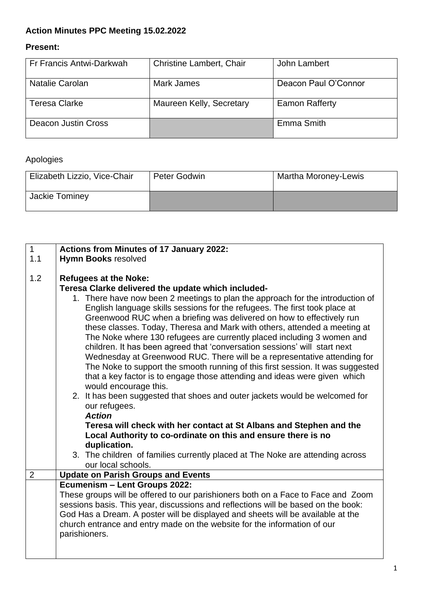# **Action Minutes PPC Meeting 15.02.2022**

# **Present:**

| Fr Francis Antwi-Darkwah | <b>Christine Lambert, Chair</b> | John Lambert          |
|--------------------------|---------------------------------|-----------------------|
|                          |                                 |                       |
|                          |                                 |                       |
| Natalie Carolan          | Mark James                      | Deacon Paul O'Connor  |
|                          |                                 |                       |
|                          |                                 |                       |
| <b>Teresa Clarke</b>     | Maureen Kelly, Secretary        | <b>Eamon Rafferty</b> |
|                          |                                 |                       |
|                          |                                 |                       |
| Deacon Justin Cross      |                                 | Emma Smith            |
|                          |                                 |                       |
|                          |                                 |                       |

# Apologies

| Elizabeth Lizzio, Vice-Chair | Peter Godwin | <b>Martha Moroney-Lewis</b> |
|------------------------------|--------------|-----------------------------|
| Jackie Tominey               |              |                             |

| $\mathbf{1}$   | <b>Actions from Minutes of 17 January 2022:</b>                                   |  |  |
|----------------|-----------------------------------------------------------------------------------|--|--|
| 1.1            | <b>Hymn Books resolved</b>                                                        |  |  |
|                |                                                                                   |  |  |
| 1.2            | <b>Refugees at the Noke:</b>                                                      |  |  |
|                | Teresa Clarke delivered the update which included-                                |  |  |
|                | 1. There have now been 2 meetings to plan the approach for the introduction of    |  |  |
|                | English language skills sessions for the refugees. The first took place at        |  |  |
|                | Greenwood RUC when a briefing was delivered on how to effectively run             |  |  |
|                | these classes. Today, Theresa and Mark with others, attended a meeting at         |  |  |
|                | The Noke where 130 refugees are currently placed including 3 women and            |  |  |
|                | children. It has been agreed that 'conversation sessions' will start next         |  |  |
|                | Wednesday at Greenwood RUC. There will be a representative attending for          |  |  |
|                | The Noke to support the smooth running of this first session. It was suggested    |  |  |
|                | that a key factor is to engage those attending and ideas were given which         |  |  |
|                | would encourage this.                                                             |  |  |
|                | 2. It has been suggested that shoes and outer jackets would be welcomed for       |  |  |
|                | our refugees.                                                                     |  |  |
|                | <b>Action</b>                                                                     |  |  |
|                | Teresa will check with her contact at St Albans and Stephen and the               |  |  |
|                | Local Authority to co-ordinate on this and ensure there is no                     |  |  |
|                | duplication.                                                                      |  |  |
|                | 3. The children of families currently placed at The Noke are attending across     |  |  |
|                | our local schools.                                                                |  |  |
| $\overline{2}$ | <b>Update on Parish Groups and Events</b>                                         |  |  |
|                | <b>Ecumenism - Lent Groups 2022:</b>                                              |  |  |
|                | These groups will be offered to our parishioners both on a Face to Face and Zoom  |  |  |
|                | sessions basis. This year, discussions and reflections will be based on the book: |  |  |
|                | God Has a Dream. A poster will be displayed and sheets will be available at the   |  |  |
|                | church entrance and entry made on the website for the information of our          |  |  |
|                | parishioners.                                                                     |  |  |
|                |                                                                                   |  |  |
|                |                                                                                   |  |  |
|                |                                                                                   |  |  |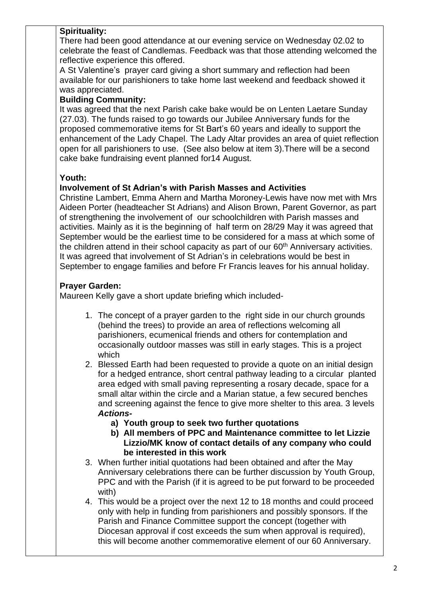#### **Spirituality:**

There had been good attendance at our evening service on Wednesday 02.02 to celebrate the feast of Candlemas. Feedback was that those attending welcomed the reflective experience this offered.

A St Valentine's prayer card giving a short summary and reflection had been available for our parishioners to take home last weekend and feedback showed it was appreciated.

#### **Building Community:**

It was agreed that the next Parish cake bake would be on Lenten Laetare Sunday (27.03). The funds raised to go towards our Jubilee Anniversary funds for the proposed commemorative items for St Bart's 60 years and ideally to support the enhancement of the Lady Chapel. The Lady Altar provides an area of quiet reflection open for all parishioners to use. (See also below at item 3).There will be a second cake bake fundraising event planned for14 August.

#### **Youth:**

#### **Involvement of St Adrian's with Parish Masses and Activities**

Christine Lambert, Emma Ahern and Martha Moroney-Lewis have now met with Mrs Aideen Porter (headteacher St Adrians) and Alison Brown, Parent Governor, as part of strengthening the involvement of our schoolchildren with Parish masses and activities. Mainly as it is the beginning of half term on 28/29 May it was agreed that September would be the earliest time to be considered for a mass at which some of the children attend in their school capacity as part of our 60<sup>th</sup> Anniversary activities. It was agreed that involvement of St Adrian's in celebrations would be best in September to engage families and before Fr Francis leaves for his annual holiday.

## **Prayer Garden:**

Maureen Kelly gave a short update briefing which included-

- 1. The concept of a prayer garden to the right side in our church grounds (behind the trees) to provide an area of reflections welcoming all parishioners, ecumenical friends and others for contemplation and occasionally outdoor masses was still in early stages. This is a project which
- 2. Blessed Earth had been requested to provide a quote on an initial design for a hedged entrance, short central pathway leading to a circular planted area edged with small paving representing a rosary decade, space for a small altar within the circle and a Marian statue, a few secured benches and screening against the fence to give more shelter to this area. 3 levels *Actions*
	- **a) Youth group to seek two further quotations**
	- **b) All members of PPC and Maintenance committee to let Lizzie Lizzio/MK know of contact details of any company who could be interested in this work**
- 3. When further initial quotations had been obtained and after the May Anniversary celebrations there can be further discussion by Youth Group, PPC and with the Parish (if it is agreed to be put forward to be proceeded with)
- 4. This would be a project over the next 12 to 18 months and could proceed only with help in funding from parishioners and possibly sponsors. If the Parish and Finance Committee support the concept (together with Diocesan approval if cost exceeds the sum when approval is required), this will become another commemorative element of our 60 Anniversary.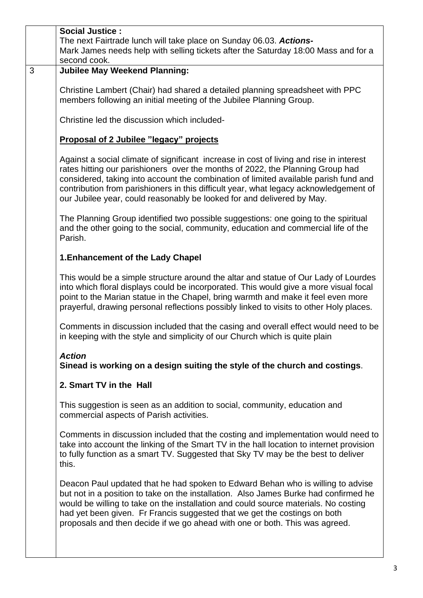|   | <b>Social Justice:</b><br>The next Fairtrade lunch will take place on Sunday 06.03. Actions-<br>Mark James needs help with selling tickets after the Saturday 18:00 Mass and for a<br>second cook.                                                                                                                                                                                                                                   |
|---|--------------------------------------------------------------------------------------------------------------------------------------------------------------------------------------------------------------------------------------------------------------------------------------------------------------------------------------------------------------------------------------------------------------------------------------|
| 3 | <b>Jubilee May Weekend Planning:</b>                                                                                                                                                                                                                                                                                                                                                                                                 |
|   | Christine Lambert (Chair) had shared a detailed planning spreadsheet with PPC<br>members following an initial meeting of the Jubilee Planning Group.                                                                                                                                                                                                                                                                                 |
|   | Christine led the discussion which included-                                                                                                                                                                                                                                                                                                                                                                                         |
|   | <b>Proposal of 2 Jubilee "legacy" projects</b>                                                                                                                                                                                                                                                                                                                                                                                       |
|   | Against a social climate of significant increase in cost of living and rise in interest<br>rates hitting our parishioners over the months of 2022, the Planning Group had<br>considered, taking into account the combination of limited available parish fund and<br>contribution from parishioners in this difficult year, what legacy acknowledgement of<br>our Jubilee year, could reasonably be looked for and delivered by May. |
|   | The Planning Group identified two possible suggestions: one going to the spiritual<br>and the other going to the social, community, education and commercial life of the<br>Parish.                                                                                                                                                                                                                                                  |
|   | 1. Enhancement of the Lady Chapel                                                                                                                                                                                                                                                                                                                                                                                                    |
|   | This would be a simple structure around the altar and statue of Our Lady of Lourdes<br>into which floral displays could be incorporated. This would give a more visual focal<br>point to the Marian statue in the Chapel, bring warmth and make it feel even more<br>prayerful, drawing personal reflections possibly linked to visits to other Holy places.                                                                         |
|   | Comments in discussion included that the casing and overall effect would need to be<br>in keeping with the style and simplicity of our Church which is quite plain                                                                                                                                                                                                                                                                   |
|   | <b>Action</b><br>Sinead is working on a design suiting the style of the church and costings.                                                                                                                                                                                                                                                                                                                                         |
|   | 2. Smart TV in the Hall                                                                                                                                                                                                                                                                                                                                                                                                              |
|   | This suggestion is seen as an addition to social, community, education and<br>commercial aspects of Parish activities.                                                                                                                                                                                                                                                                                                               |
|   | Comments in discussion included that the costing and implementation would need to<br>take into account the linking of the Smart TV in the hall location to internet provision<br>to fully function as a smart TV. Suggested that Sky TV may be the best to deliver<br>this.                                                                                                                                                          |
|   | Deacon Paul updated that he had spoken to Edward Behan who is willing to advise<br>but not in a position to take on the installation. Also James Burke had confirmed he<br>would be willing to take on the installation and could source materials. No costing<br>had yet been given. Fr Francis suggested that we get the costings on both<br>proposals and then decide if we go ahead with one or both. This was agreed.           |
|   |                                                                                                                                                                                                                                                                                                                                                                                                                                      |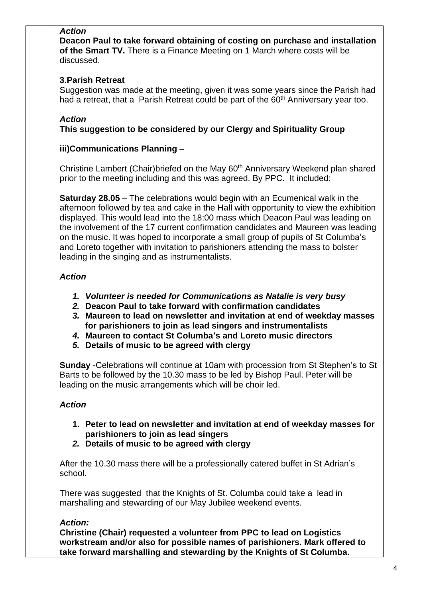## *Action*

**Deacon Paul to take forward obtaining of costing on purchase and installation of the Smart TV.** There is a Finance Meeting on 1 March where costs will be discussed.

# **3.Parish Retreat**

Suggestion was made at the meeting, given it was some years since the Parish had had a retreat, that a Parish Retreat could be part of the 60<sup>th</sup> Anniversary year too.

## *Action*

**This suggestion to be considered by our Clergy and Spirituality Group**

#### **iii)Communications Planning –**

Christine Lambert (Chair)briefed on the May 60<sup>th</sup> Anniversary Weekend plan shared prior to the meeting including and this was agreed. By PPC. It included:

**Saturday 28.05** – The celebrations would begin with an Ecumenical walk in the afternoon followed by tea and cake in the Hall with opportunity to view the exhibition displayed. This would lead into the 18:00 mass which Deacon Paul was leading on the involvement of the 17 current confirmation candidates and Maureen was leading on the music. It was hoped to incorporate a small group of pupils of St Columba's and Loreto together with invitation to parishioners attending the mass to bolster leading in the singing and as instrumentalists.

## *Action*

- *1. Volunteer is needed for Communications as Natalie is very busy*
- *2.* **Deacon Paul to take forward with confirmation candidates**
- *3.* **Maureen to lead on newsletter and invitation at end of weekday masses for parishioners to join as lead singers and instrumentalists**
- *4.* **Maureen to contact St Columba's and Loreto music directors**
- *5.* **Details of music to be agreed with clergy**

**Sunday** -Celebrations will continue at 10am with procession from St Stephen's to St Barts to be followed by the 10.30 mass to be led by Bishop Paul. Peter will be leading on the music arrangements which will be choir led.

## *Action*

- **1. Peter to lead on newsletter and invitation at end of weekday masses for parishioners to join as lead singers**
- *2.* **Details of music to be agreed with clergy**

After the 10.30 mass there will be a professionally catered buffet in St Adrian's school.

There was suggested that the Knights of St. Columba could take a lead in marshalling and stewarding of our May Jubilee weekend events.

## *Action:*

**Christine (Chair) requested a volunteer from PPC to lead on Logistics workstream and/or also for possible names of parishioners. Mark offered to take forward marshalling and stewarding by the Knights of St Columba.**